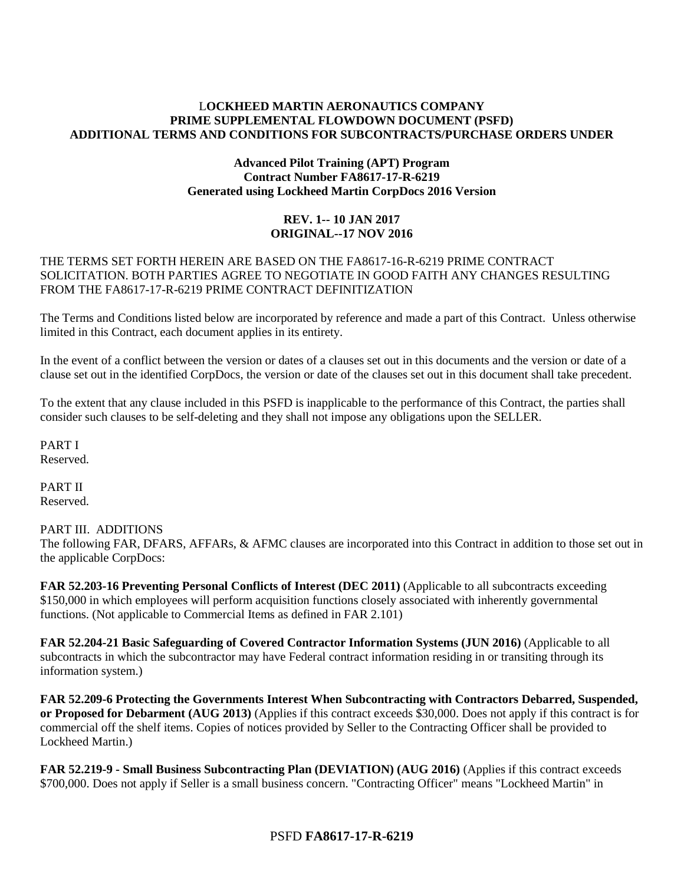### L**OCKHEED MARTIN AERONAUTICS COMPANY PRIME SUPPLEMENTAL FLOWDOWN DOCUMENT (PSFD) ADDITIONAL TERMS AND CONDITIONS FOR SUBCONTRACTS/PURCHASE ORDERS UNDER**

### **Advanced Pilot Training (APT) Program Contract Number FA8617-17-R-6219 Generated using Lockheed Martin CorpDocs 2016 Version**

### **REV. 1-- 10 JAN 2017 ORIGINAL--17 NOV 2016**

### THE TERMS SET FORTH HEREIN ARE BASED ON THE FA8617-16-R-6219 PRIME CONTRACT SOLICITATION. BOTH PARTIES AGREE TO NEGOTIATE IN GOOD FAITH ANY CHANGES RESULTING FROM THE FA8617-17-R-6219 PRIME CONTRACT DEFINITIZATION

The Terms and Conditions listed below are incorporated by reference and made a part of this Contract. Unless otherwise limited in this Contract, each document applies in its entirety.

In the event of a conflict between the version or dates of a clauses set out in this documents and the version or date of a clause set out in the identified CorpDocs, the version or date of the clauses set out in this document shall take precedent.

To the extent that any clause included in this PSFD is inapplicable to the performance of this Contract, the parties shall consider such clauses to be self-deleting and they shall not impose any obligations upon the SELLER.

PART I Reserved.

PART II Reserved.

### PART III. ADDITIONS

The following FAR, DFARS, AFFARs, & AFMC clauses are incorporated into this Contract in addition to those set out in the applicable CorpDocs:

**FAR 52.203-16 Preventing Personal Conflicts of Interest (DEC 2011)** (Applicable to all subcontracts exceeding \$150,000 in which employees will perform acquisition functions closely associated with inherently governmental functions. (Not applicable to Commercial Items as defined in FAR 2.101)

**FAR 52.204-21 Basic Safeguarding of Covered Contractor Information Systems (JUN 2016)** (Applicable to all subcontracts in which the subcontractor may have Federal contract information residing in or transiting through its information system.)

**FAR 52.209-6 Protecting the Governments Interest When Subcontracting with Contractors Debarred, Suspended, or Proposed for Debarment (AUG 2013)** (Applies if this contract exceeds \$30,000. Does not apply if this contract is for commercial off the shelf items. Copies of notices provided by Seller to the Contracting Officer shall be provided to Lockheed Martin.)

**FAR 52.219-9 - Small Business Subcontracting Plan (DEVIATION) (AUG 2016)** (Applies if this contract exceeds \$700,000. Does not apply if Seller is a small business concern. "Contracting Officer" means "Lockheed Martin" in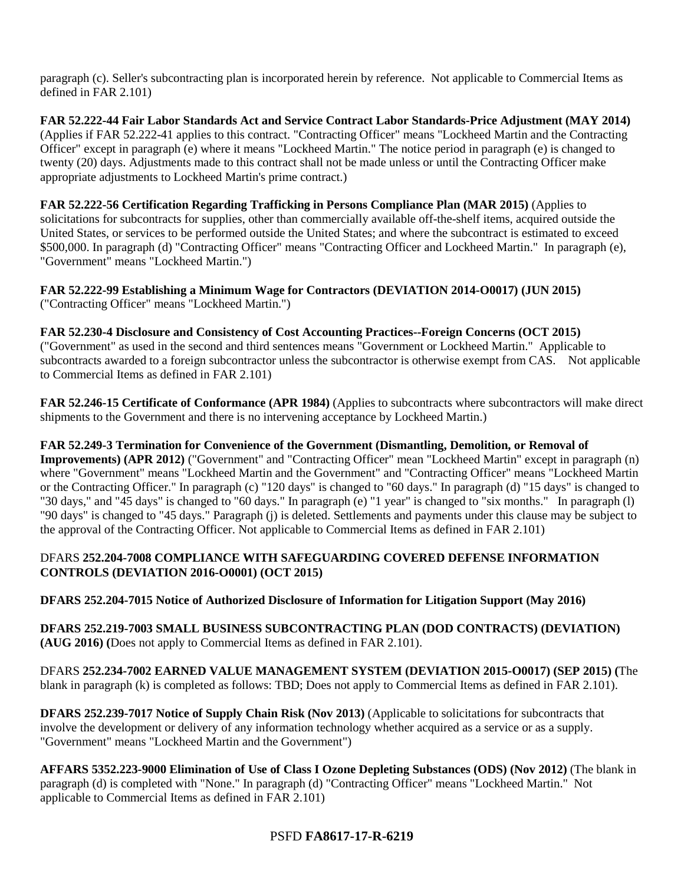paragraph (c). Seller's subcontracting plan is incorporated herein by reference. Not applicable to Commercial Items as defined in FAR 2.101)

**FAR 52.222-44 Fair Labor Standards Act and Service Contract Labor Standards-Price Adjustment (MAY 2014)** (Applies if FAR 52.222-41 applies to this contract. "Contracting Officer" means "Lockheed Martin and the Contracting Officer" except in paragraph (e) where it means "Lockheed Martin." The notice period in paragraph (e) is changed to twenty (20) days. Adjustments made to this contract shall not be made unless or until the Contracting Officer make appropriate adjustments to Lockheed Martin's prime contract.)

**FAR 52.222-56 Certification Regarding Trafficking in Persons Compliance Plan (MAR 2015)** (Applies to solicitations for subcontracts for supplies, other than commercially available off-the-shelf items, acquired outside the United States, or services to be performed outside the United States; and where the subcontract is estimated to exceed \$500,000. In paragraph (d) "Contracting Officer" means "Contracting Officer and Lockheed Martin." In paragraph (e), "Government" means "Lockheed Martin.")

**FAR 52.222-99 Establishing a Minimum Wage for Contractors (DEVIATION 2014-O0017) (JUN 2015)** ("Contracting Officer" means "Lockheed Martin.")

**FAR 52.230-4 Disclosure and Consistency of Cost Accounting Practices--Foreign Concerns (OCT 2015)** ("Government" as used in the second and third sentences means "Government or Lockheed Martin." Applicable to subcontracts awarded to a foreign subcontractor unless the subcontractor is otherwise exempt from CAS. Not applicable to Commercial Items as defined in FAR 2.101)

**FAR 52.246-15 Certificate of Conformance (APR 1984)** (Applies to subcontracts where subcontractors will make direct shipments to the Government and there is no intervening acceptance by Lockheed Martin.)

**FAR 52.249-3 Termination for Convenience of the Government (Dismantling, Demolition, or Removal of Improvements) (APR 2012)** ("Government" and "Contracting Officer" mean "Lockheed Martin" except in paragraph (n) where "Government" means "Lockheed Martin and the Government" and "Contracting Officer" means "Lockheed Martin or the Contracting Officer." In paragraph (c) "120 days" is changed to "60 days." In paragraph (d) "15 days" is changed to "30 days," and "45 days" is changed to "60 days." In paragraph (e) "1 year" is changed to "six months." In paragraph (l) "90 days" is changed to "45 days." Paragraph (j) is deleted. Settlements and payments under this clause may be subject to the approval of the Contracting Officer. Not applicable to Commercial Items as defined in FAR 2.101)

### DFARS **252.204-7008 COMPLIANCE WITH SAFEGUARDING COVERED DEFENSE INFORMATION CONTROLS (DEVIATION 2016-O0001) (OCT 2015)**

**DFARS 252.204-7015 Notice of Authorized Disclosure of Information for Litigation Support (May 2016)**

**DFARS 252.219-7003 SMALL BUSINESS SUBCONTRACTING PLAN (DOD CONTRACTS) (DEVIATION) (AUG 2016) (**Does not apply to Commercial Items as defined in FAR 2.101).

DFARS **252.234-7002 EARNED VALUE MANAGEMENT SYSTEM (DEVIATION 2015-O0017) (SEP 2015) (**The blank in paragraph (k) is completed as follows: TBD; Does not apply to Commercial Items as defined in FAR 2.101).

**DFARS 252.239-7017 Notice of Supply Chain Risk (Nov 2013)** (Applicable to solicitations for subcontracts that involve the development or delivery of any information technology whether acquired as a service or as a supply. "Government" means "Lockheed Martin and the Government")

**AFFARS 5352.223-9000 Elimination of Use of Class I Ozone Depleting Substances (ODS) (Nov 2012)** (The blank in paragraph (d) is completed with "None." In paragraph (d) "Contracting Officer" means "Lockheed Martin." Not applicable to Commercial Items as defined in FAR 2.101)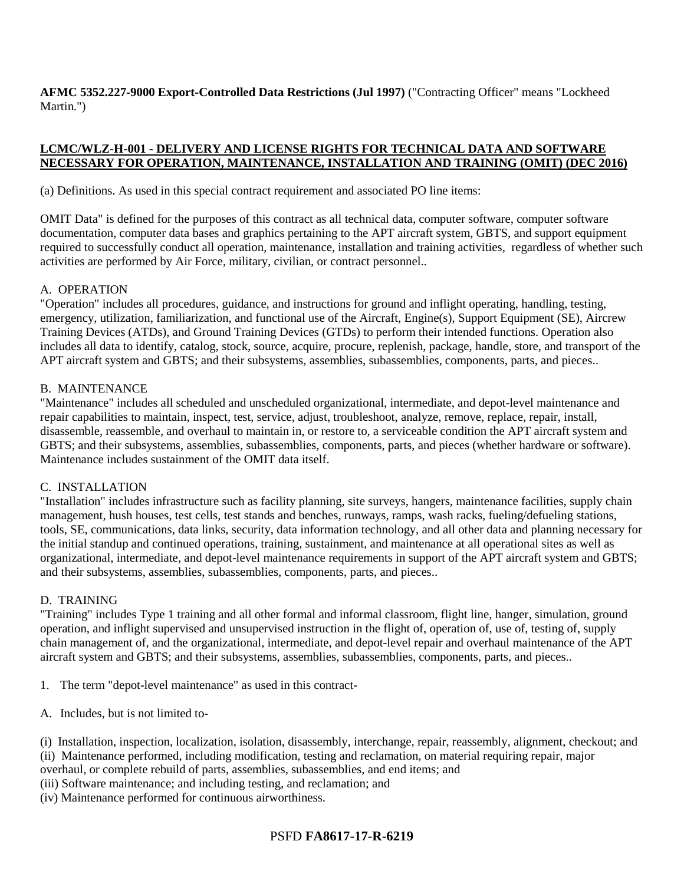**AFMC 5352.227-9000 Export-Controlled Data Restrictions (Jul 1997)** ("Contracting Officer" means "Lockheed Martin.")

### **LCMC/WLZ-H-001 - DELIVERY AND LICENSE RIGHTS FOR TECHNICAL DATA AND SOFTWARE NECESSARY FOR OPERATION, MAINTENANCE, INSTALLATION AND TRAINING (OMIT) (DEC 2016)**

(a) Definitions. As used in this special contract requirement and associated PO line items:

OMIT Data" is defined for the purposes of this contract as all technical data, computer software, computer software documentation, computer data bases and graphics pertaining to the APT aircraft system, GBTS, and support equipment required to successfully conduct all operation, maintenance, installation and training activities, regardless of whether such activities are performed by Air Force, military, civilian, or contract personnel..

#### A. OPERATION

"Operation" includes all procedures, guidance, and instructions for ground and inflight operating, handling, testing, emergency, utilization, familiarization, and functional use of the Aircraft, Engine(s), Support Equipment (SE), Aircrew Training Devices (ATDs), and Ground Training Devices (GTDs) to perform their intended functions. Operation also includes all data to identify, catalog, stock, source, acquire, procure, replenish, package, handle, store, and transport of the APT aircraft system and GBTS; and their subsystems, assemblies, subassemblies, components, parts, and pieces..

#### B. MAINTENANCE

"Maintenance" includes all scheduled and unscheduled organizational, intermediate, and depot-level maintenance and repair capabilities to maintain, inspect, test, service, adjust, troubleshoot, analyze, remove, replace, repair, install, disassemble, reassemble, and overhaul to maintain in, or restore to, a serviceable condition the APT aircraft system and GBTS; and their subsystems, assemblies, subassemblies, components, parts, and pieces (whether hardware or software). Maintenance includes sustainment of the OMIT data itself.

### C. INSTALLATION

"Installation" includes infrastructure such as facility planning, site surveys, hangers, maintenance facilities, supply chain management, hush houses, test cells, test stands and benches, runways, ramps, wash racks, fueling/defueling stations, tools, SE, communications, data links, security, data information technology, and all other data and planning necessary for the initial standup and continued operations, training, sustainment, and maintenance at all operational sites as well as organizational, intermediate, and depot-level maintenance requirements in support of the APT aircraft system and GBTS; and their subsystems, assemblies, subassemblies, components, parts, and pieces..

### D. TRAINING

"Training" includes Type 1 training and all other formal and informal classroom, flight line, hanger, simulation, ground operation, and inflight supervised and unsupervised instruction in the flight of, operation of, use of, testing of, supply chain management of, and the organizational, intermediate, and depot-level repair and overhaul maintenance of the APT aircraft system and GBTS; and their subsystems, assemblies, subassemblies, components, parts, and pieces..

- 1. The term "depot-level maintenance" as used in this contract-
- A. Includes, but is not limited to-

(i) Installation, inspection, localization, isolation, disassembly, interchange, repair, reassembly, alignment, checkout; and (ii) Maintenance performed, including modification, testing and reclamation, on material requiring repair, major

- overhaul, or complete rebuild of parts, assemblies, subassemblies, and end items; and
- (iii) Software maintenance; and including testing, and reclamation; and
- (iv) Maintenance performed for continuous airworthiness.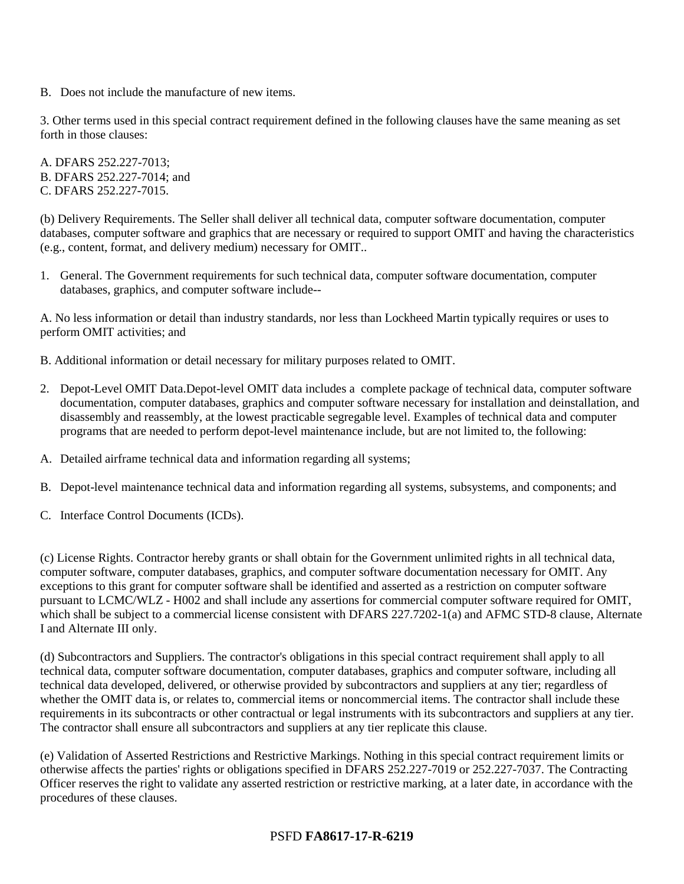B. Does not include the manufacture of new items.

3. Other terms used in this special contract requirement defined in the following clauses have the same meaning as set forth in those clauses:

A. DFARS 252.227-7013; B. DFARS 252.227-7014; and C. DFARS 252.227-7015.

(b) Delivery Requirements. The Seller shall deliver all technical data, computer software documentation, computer databases, computer software and graphics that are necessary or required to support OMIT and having the characteristics (e.g., content, format, and delivery medium) necessary for OMIT..

1. General. The Government requirements for such technical data, computer software documentation, computer databases, graphics, and computer software include--

A. No less information or detail than industry standards, nor less than Lockheed Martin typically requires or uses to perform OMIT activities; and

B. Additional information or detail necessary for military purposes related to OMIT.

- 2. Depot-Level OMIT Data.Depot-level OMIT data includes a complete package of technical data, computer software documentation, computer databases, graphics and computer software necessary for installation and deinstallation, and disassembly and reassembly, at the lowest practicable segregable level. Examples of technical data and computer programs that are needed to perform depot-level maintenance include, but are not limited to, the following:
- A. Detailed airframe technical data and information regarding all systems;
- B. Depot-level maintenance technical data and information regarding all systems, subsystems, and components; and
- C. Interface Control Documents (ICDs).

(c) License Rights. Contractor hereby grants or shall obtain for the Government unlimited rights in all technical data, computer software, computer databases, graphics, and computer software documentation necessary for OMIT. Any exceptions to this grant for computer software shall be identified and asserted as a restriction on computer software pursuant to LCMC/WLZ - H002 and shall include any assertions for commercial computer software required for OMIT, which shall be subject to a commercial license consistent with DFARS 227.7202-1(a) and AFMC STD-8 clause, Alternate I and Alternate III only.

(d) Subcontractors and Suppliers. The contractor's obligations in this special contract requirement shall apply to all technical data, computer software documentation, computer databases, graphics and computer software, including all technical data developed, delivered, or otherwise provided by subcontractors and suppliers at any tier; regardless of whether the OMIT data is, or relates to, commercial items or noncommercial items. The contractor shall include these requirements in its subcontracts or other contractual or legal instruments with its subcontractors and suppliers at any tier. The contractor shall ensure all subcontractors and suppliers at any tier replicate this clause.

(e) Validation of Asserted Restrictions and Restrictive Markings. Nothing in this special contract requirement limits or otherwise affects the parties' rights or obligations specified in DFARS 252.227-7019 or 252.227-7037. The Contracting Officer reserves the right to validate any asserted restriction or restrictive marking, at a later date, in accordance with the procedures of these clauses.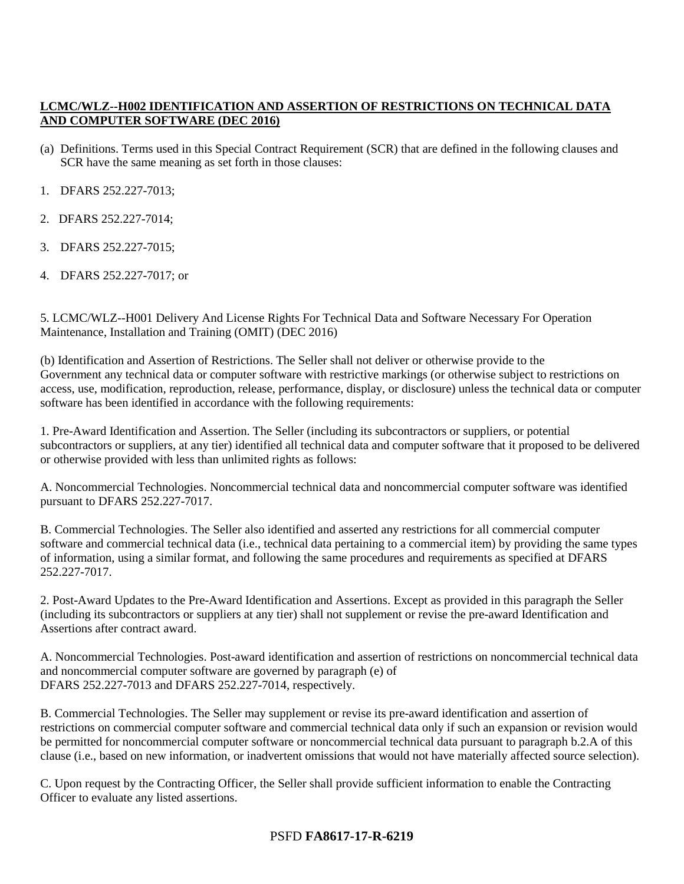# **LCMC/WLZ--H002 IDENTIFICATION AND ASSERTION OF RESTRICTIONS ON TECHNICAL DATA AND COMPUTER SOFTWARE (DEC 2016)**

- (a) Definitions. Terms used in this Special Contract Requirement (SCR) that are defined in the following clauses and SCR have the same meaning as set forth in those clauses:
- 1. DFARS 252.227-7013;
- 2. DFARS 252.227-7014;
- 3. DFARS 252.227-7015;
- 4. DFARS 252.227-7017; or

5. LCMC/WLZ--H001 Delivery And License Rights For Technical Data and Software Necessary For Operation Maintenance, Installation and Training (OMIT) (DEC 2016)

(b) Identification and Assertion of Restrictions. The Seller shall not deliver or otherwise provide to the Government any technical data or computer software with restrictive markings (or otherwise subject to restrictions on access, use, modification, reproduction, release, performance, display, or disclosure) unless the technical data or computer software has been identified in accordance with the following requirements:

1. Pre-Award Identification and Assertion. The Seller (including its subcontractors or suppliers, or potential subcontractors or suppliers, at any tier) identified all technical data and computer software that it proposed to be delivered or otherwise provided with less than unlimited rights as follows:

A. Noncommercial Technologies. Noncommercial technical data and noncommercial computer software was identified pursuant to DFARS 252.227-7017.

B. Commercial Technologies. The Seller also identified and asserted any restrictions for all commercial computer software and commercial technical data (i.e., technical data pertaining to a commercial item) by providing the same types of information, using a similar format, and following the same procedures and requirements as specified at DFARS 252.227-7017.

2. Post-Award Updates to the Pre-Award Identification and Assertions. Except as provided in this paragraph the Seller (including its subcontractors or suppliers at any tier) shall not supplement or revise the pre-award Identification and Assertions after contract award.

A. Noncommercial Technologies. Post-award identification and assertion of restrictions on noncommercial technical data and noncommercial computer software are governed by paragraph (e) of DFARS 252.227-7013 and DFARS 252.227-7014, respectively.

B. Commercial Technologies. The Seller may supplement or revise its pre-award identification and assertion of restrictions on commercial computer software and commercial technical data only if such an expansion or revision would be permitted for noncommercial computer software or noncommercial technical data pursuant to paragraph b.2.A of this clause (i.e., based on new information, or inadvertent omissions that would not have materially affected source selection).

C. Upon request by the Contracting Officer, the Seller shall provide sufficient information to enable the Contracting Officer to evaluate any listed assertions.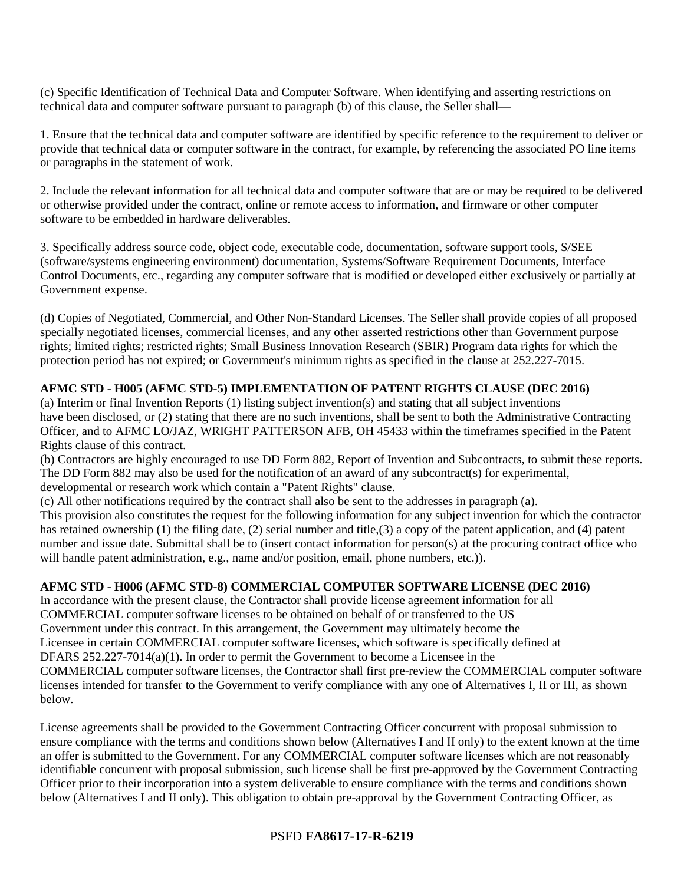(c) Specific Identification of Technical Data and Computer Software. When identifying and asserting restrictions on technical data and computer software pursuant to paragraph (b) of this clause, the Seller shall—

1. Ensure that the technical data and computer software are identified by specific reference to the requirement to deliver or provide that technical data or computer software in the contract, for example, by referencing the associated PO line items or paragraphs in the statement of work.

2. Include the relevant information for all technical data and computer software that are or may be required to be delivered or otherwise provided under the contract, online or remote access to information, and firmware or other computer software to be embedded in hardware deliverables.

3. Specifically address source code, object code, executable code, documentation, software support tools, S/SEE (software/systems engineering environment) documentation, Systems/Software Requirement Documents, Interface Control Documents, etc., regarding any computer software that is modified or developed either exclusively or partially at Government expense.

(d) Copies of Negotiated, Commercial, and Other Non-Standard Licenses. The Seller shall provide copies of all proposed specially negotiated licenses, commercial licenses, and any other asserted restrictions other than Government purpose rights; limited rights; restricted rights; Small Business Innovation Research (SBIR) Program data rights for which the protection period has not expired; or Government's minimum rights as specified in the clause at 252.227-7015.

# **AFMC STD - H005 (AFMC STD-5) IMPLEMENTATION OF PATENT RIGHTS CLAUSE (DEC 2016)**

(a) Interim or final Invention Reports (1) listing subject invention(s) and stating that all subject inventions have been disclosed, or (2) stating that there are no such inventions, shall be sent to both the Administrative Contracting Officer, and to AFMC LO/JAZ, WRIGHT PATTERSON AFB, OH 45433 within the timeframes specified in the Patent Rights clause of this contract.

(b) Contractors are highly encouraged to use DD Form 882, Report of Invention and Subcontracts, to submit these reports. The DD Form 882 may also be used for the notification of an award of any subcontract(s) for experimental, developmental or research work which contain a "Patent Rights" clause.

(c) All other notifications required by the contract shall also be sent to the addresses in paragraph (a).

This provision also constitutes the request for the following information for any subject invention for which the contractor has retained ownership (1) the filing date, (2) serial number and title,(3) a copy of the patent application, and (4) patent number and issue date. Submittal shall be to (insert contact information for person(s) at the procuring contract office who will handle patent administration, e.g., name and/or position, email, phone numbers, etc.)).

# **AFMC STD - H006 (AFMC STD-8) COMMERCIAL COMPUTER SOFTWARE LICENSE (DEC 2016)**

In accordance with the present clause, the Contractor shall provide license agreement information for all COMMERCIAL computer software licenses to be obtained on behalf of or transferred to the US Government under this contract. In this arrangement, the Government may ultimately become the Licensee in certain COMMERCIAL computer software licenses, which software is specifically defined at DFARS 252.227-7014(a)(1). In order to permit the Government to become a Licensee in the COMMERCIAL computer software licenses, the Contractor shall first pre-review the COMMERCIAL computer software licenses intended for transfer to the Government to verify compliance with any one of Alternatives I, II or III, as shown below.

License agreements shall be provided to the Government Contracting Officer concurrent with proposal submission to ensure compliance with the terms and conditions shown below (Alternatives I and II only) to the extent known at the time an offer is submitted to the Government. For any COMMERCIAL computer software licenses which are not reasonably identifiable concurrent with proposal submission, such license shall be first pre-approved by the Government Contracting Officer prior to their incorporation into a system deliverable to ensure compliance with the terms and conditions shown below (Alternatives I and II only). This obligation to obtain pre-approval by the Government Contracting Officer, as